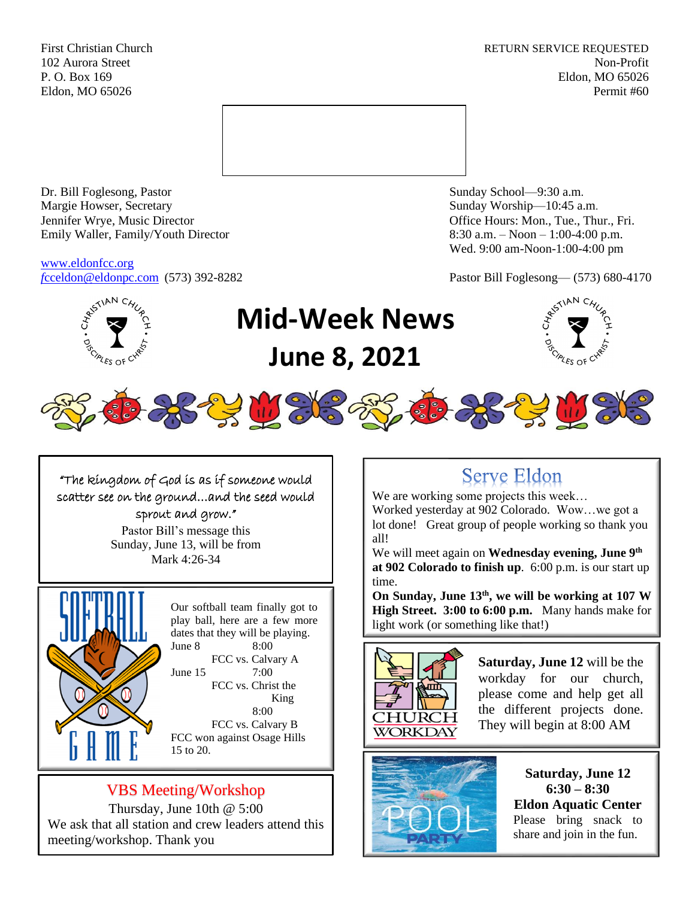First Christian Church **RETURN SERVICE REQUESTED** 102 Aurora Street Non-Profit P. O. Box 169 Eldon, MO 65026 Eldon, MO 65026 Permit #60



Dr. Bill Foglesong, Pastor Sunday School—9:30 a.m. Margie Howser, Secretary Sunday Worship—10:45 a.m. Jennifer Wrye, Music Director Office Hours: Mon., Tue., Thur., Fri. Emily Waller, Family/Youth Director 8:30 a.m. – Noon – 1:00-4:00 p.m.

[www.eldonfcc.org](http://www.eldonfcc.org/)

Wed. 9:00 am-Noon-1:00-4:00 pm

*f*[cceldon@eldonpc.com](mailto:fcceldon@eldonpc.com) (573) 392-8282 Pastor Bill Foglesong— (573) 680-4170



# **Mid-Week News June 8, 2021**





"The kingdom of God is as if someone would scatter see on the ground…and the seed would sprout and grow."

> Pastor Bill's message this Sunday, June 13, will be from Mark 4:26-34



Our softball team finally got to play ball, here are a few more dates that they will be playing. June 8 8:00 FCC vs. Calvary A June 15 7:00 FCC vs. Christ the King 8:00 FCC vs. Calvary B FCC won against Osage Hills 15 to 20.

## VBS Meeting/Workshop

Thursday, June 10th @ 5:00 We ask that all station and crew leaders attend this meeting/workshop. Thank you

# **Serve Eldon**

We are working some projects this week... Worked yesterday at 902 Colorado. Wow…we got a lot done! Great group of people working so thank you all!

We will meet again on **Wednesday evening, June 9th at 902 Colorado to finish up**. 6:00 p.m. is our start up time.

**On Sunday, June 13th, we will be working at 107 W High Street. 3:00 to 6:00 p.m.** Many hands make for light work (or something like that!)



**Saturday, June 12** will be the workday for our church, please come and help get all the different projects done. They will begin at 8:00 AM



**Saturday, June 12 6:30 – 8:30 Eldon Aquatic Center** Please bring snack to share and join in the fun.